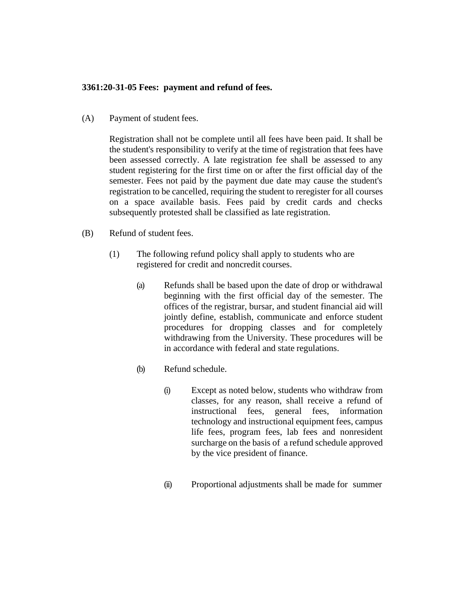## **3361:20-31-05 Fees: payment and refund of fees.**

(A) Payment of student fees.

Registration shall not be complete until all fees have been paid. It shall be the student's responsibility to verify at the time of registration that fees have been assessed correctly. A late registration fee shall be assessed to any student registering for the first time on or after the first official day of the semester. Fees not paid by the payment due date may cause the student's registration to be cancelled, requiring the student to reregister for all courses on a space available basis. Fees paid by credit cards and checks subsequently protested shall be classified as late registration.

- (B) Refund of student fees.
	- (1) The following refund policy shall apply to students who are registered for credit and noncredit courses.
		- (a) Refunds shall be based upon the date of drop or withdrawal beginning with the first official day of the semester. The offices of the registrar, bursar, and student financial aid will jointly define, establish, communicate and enforce student procedures for dropping classes and for completely withdrawing from the University. These procedures will be in accordance with federal and state regulations.
		- (b) Refund schedule.
			- (i) Except as noted below, students who withdraw from classes, for any reason, shall receive a refund of instructional fees, general fees, information technology and instructional equipment fees, campus life fees, program fees, lab fees and nonresident surcharge on the basis of a refund schedule approved by the vice president of finance.
			- (ii) Proportional adjustments shall be made for summer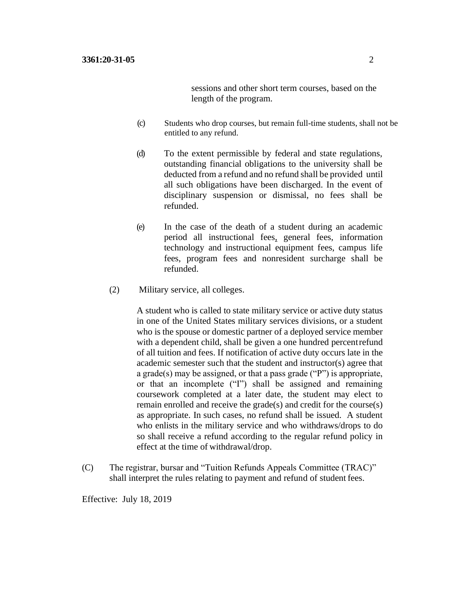sessions and other short term courses, based on the length of the program.

- (c) Students who drop courses, but remain full-time students, shall not be entitled to any refund.
- (d) To the extent permissible by federal and state regulations, outstanding financial obligations to the university shall be deducted from a refund and no refund shall be provided until all such obligations have been discharged. In the event of disciplinary suspension or dismissal, no fees shall be refunded.
- (e) In the case of the death of a student during an academic period all instructional fees, general fees, information technology and instructional equipment fees, campus life fees, program fees and nonresident surcharge shall be refunded.
- (2) Military service, all colleges.

A student who is called to state military service or active duty status in one of the United States military services divisions, or a student who is the spouse or domestic partner of a deployed service member with a dependent child, shall be given a one hundred percentrefund of all tuition and fees. If notification of active duty occurs late in the academic semester such that the student and instructor(s) agree that a grade(s) may be assigned, or that a pass grade ("P") is appropriate, or that an incomplete ("I") shall be assigned and remaining coursework completed at a later date, the student may elect to remain enrolled and receive the grade(s) and credit for the course(s) as appropriate. In such cases, no refund shall be issued. A student who enlists in the military service and who withdraws/drops to do so shall receive a refund according to the regular refund policy in effect at the time of withdrawal/drop.

(C) The registrar, bursar and "Tuition Refunds Appeals Committee (TRAC)" shall interpret the rules relating to payment and refund of student fees.

Effective: July 18, 2019